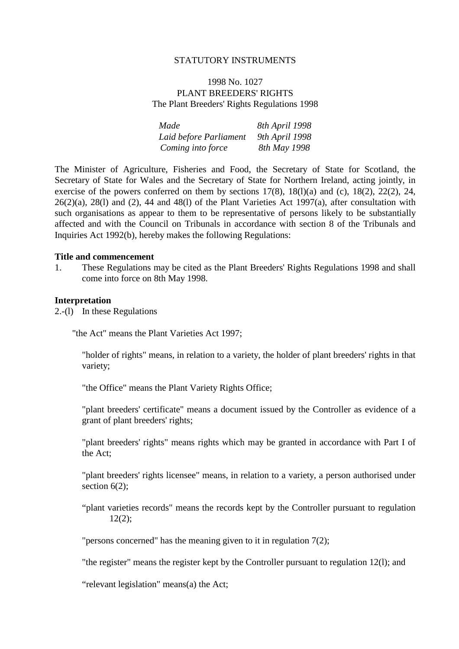#### STATUTORY INSTRUMENTS

### 1998 No. 1027 PLANT BREEDERS' RIGHTS The Plant Breeders' Rights Regulations 1998

| Made                   | 8th April 1998 |
|------------------------|----------------|
| Laid before Parliament | 9th April 1998 |
| Coming into force      | 8th May 1998   |

The Minister of Agriculture, Fisheries and Food, the Secretary of State for Scotland, the Secretary of State for Wales and the Secretary of State for Northern Ireland, acting jointly, in exercise of the powers conferred on them by sections  $17(8)$ ,  $18(1)(a)$  and (c),  $18(2)$ ,  $22(2)$ ,  $24$ ,  $26(2)(a)$ ,  $28(1)$  and  $(2)$ ,  $44$  and  $48(1)$  of the Plant Varieties Act 1997(a), after consultation with such organisations as appear to them to be representative of persons likely to be substantially affected and with the Council on Tribunals in accordance with section 8 of the Tribunals and Inquiries Act 1992(b), hereby makes the following Regulations:

#### **Title and commencement**

1. These Regulations may be cited as the Plant Breeders' Rights Regulations 1998 and shall come into force on 8th May 1998.

#### **Interpretation**

2.-(l) In these Regulations

"the Act" means the Plant Varieties Act 1997;

"holder of rights" means, in relation to a variety, the holder of plant breeders' rights in that variety;

"the Office" means the Plant Variety Rights Office;

"plant breeders' certificate" means a document issued by the Controller as evidence of a grant of plant breeders' rights;

"plant breeders' rights" means rights which may be granted in accordance with Part I of the Act;

"plant breeders' rights licensee" means, in relation to a variety, a person authorised under section  $6(2)$ ;

"plant varieties records" means the records kept by the Controller pursuant to regulation  $12(2)$ ;

"persons concerned" has the meaning given to it in regulation 7(2);

"the register" means the register kept by the Controller pursuant to regulation 12(l); and

"relevant legislation" means(a) the Act;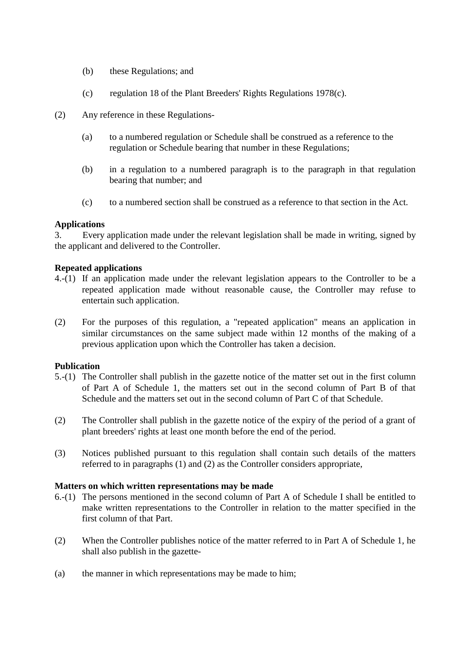- (b) these Regulations; and
- (c) regulation 18 of the Plant Breeders' Rights Regulations 1978(c).
- (2) Any reference in these Regulations-
	- (a) to a numbered regulation or Schedule shall be construed as a reference to the regulation or Schedule bearing that number in these Regulations;
	- (b) in a regulation to a numbered paragraph is to the paragraph in that regulation bearing that number; and
	- (c) to a numbered section shall be construed as a reference to that section in the Act.

### **Applications**

3. Every application made under the relevant legislation shall be made in writing, signed by the applicant and delivered to the Controller.

### **Repeated applications**

- 4.-(1) If an application made under the relevant legislation appears to the Controller to be a repeated application made without reasonable cause, the Controller may refuse to entertain such application.
- (2) For the purposes of this regulation, a "repeated application" means an application in similar circumstances on the same subject made within 12 months of the making of a previous application upon which the Controller has taken a decision.

#### **Publication**

- 5.-(1) The Controller shall publish in the gazette notice of the matter set out in the first column of Part A of Schedule 1, the matters set out in the second column of Part B of that Schedule and the matters set out in the second column of Part C of that Schedule.
- (2) The Controller shall publish in the gazette notice of the expiry of the period of a grant of plant breeders' rights at least one month before the end of the period.
- (3) Notices published pursuant to this regulation shall contain such details of the matters referred to in paragraphs (1) and (2) as the Controller considers appropriate,

#### **Matters on which written representations may be made**

- 6.-(1) The persons mentioned in the second column of Part A of Schedule I shall be entitled to make written representations to the Controller in relation to the matter specified in the first column of that Part.
- (2) When the Controller publishes notice of the matter referred to in Part A of Schedule 1, he shall also publish in the gazette-
- (a) the manner in which representations may be made to him;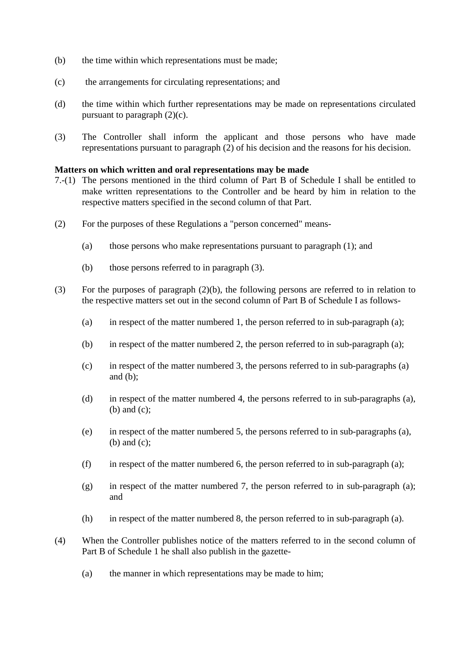- (b) the time within which representations must be made;
- (c) the arrangements for circulating representations; and
- (d) the time within which further representations may be made on representations circulated pursuant to paragraph  $(2)(c)$ .
- (3) The Controller shall inform the applicant and those persons who have made representations pursuant to paragraph (2) of his decision and the reasons for his decision.

#### **Matters on which written and oral representations may be made**

- 7.-(1) The persons mentioned in the third column of Part B of Schedule I shall be entitled to make written representations to the Controller and be heard by him in relation to the respective matters specified in the second column of that Part.
- (2) For the purposes of these Regulations a "person concerned" means-
	- (a) those persons who make representations pursuant to paragraph (1); and
	- (b) those persons referred to in paragraph (3).
- (3) For the purposes of paragraph (2)(b), the following persons are referred to in relation to the respective matters set out in the second column of Part B of Schedule I as follows-
	- (a) in respect of the matter numbered 1, the person referred to in sub-paragraph (a);
	- (b) in respect of the matter numbered 2, the person referred to in sub-paragraph (a);
	- (c) in respect of the matter numbered 3, the persons referred to in sub-paragraphs (a) and (b);
	- (d) in respect of the matter numbered 4, the persons referred to in sub-paragraphs (a), (b) and (c);
	- (e) in respect of the matter numbered 5, the persons referred to in sub-paragraphs (a), (b) and (c);
	- (f) in respect of the matter numbered 6, the person referred to in sub-paragraph (a);
	- (g) in respect of the matter numbered 7, the person referred to in sub-paragraph (a); and
	- (h) in respect of the matter numbered 8, the person referred to in sub-paragraph (a).
- (4) When the Controller publishes notice of the matters referred to in the second column of Part B of Schedule 1 he shall also publish in the gazette-
	- (a) the manner in which representations may be made to him;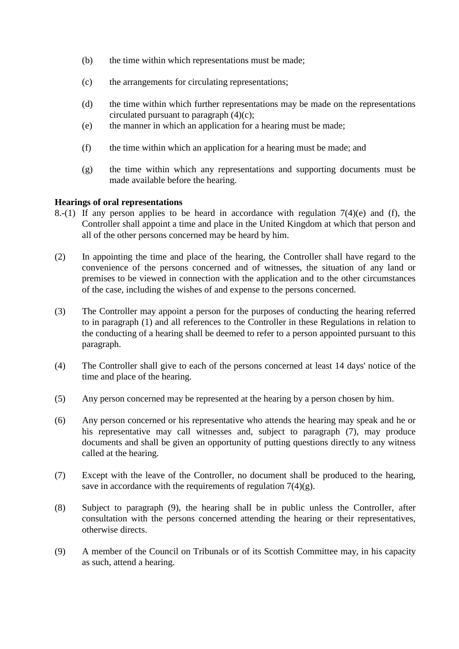- (b) the time within which representations must be made;
- (c) the arrangements for circulating representations;
- (d) the time within which further representations may be made on the representations circulated pursuant to paragraph (4)(c);
- (e) the manner in which an application for a hearing must be made;
- (f) the time within which an application for a hearing must be made; and
- (g) the time within which any representations and supporting documents must be made available before the hearing.

### **Hearings of oral representations**

- 8.-(1) If any person applies to be heard in accordance with regulation  $7(4)(e)$  and (f), the Controller shall appoint a time and place in the United Kingdom at which that person and all of the other persons concerned may be heard by him.
- (2) In appointing the time and place of the hearing, the Controller shall have regard to the convenience of the persons concerned and of witnesses, the situation of any land or premises to be viewed in connection with the application and to the other circumstances of the case, including the wishes of and expense to the persons concerned.
- (3) The Controller may appoint a person for the purposes of conducting the hearing referred to in paragraph (1) and all references to the Controller in these Regulations in relation to the conducting of a hearing shall be deemed to refer to a person appointed pursuant to this paragraph.
- (4) The Controller shall give to each of the persons concerned at least 14 days' notice of the time and place of the hearing.
- (5) Any person concerned may be represented at the hearing by a person chosen by him.
- (6) Any person concerned or his representative who attends the hearing may speak and he or his representative may call witnesses and, subject to paragraph (7), may produce documents and shall be given an opportunity of putting questions directly to any witness called at the hearing.
- (7) Except with the leave of the Controller, no document shall be produced to the hearing, save in accordance with the requirements of regulation  $7(4)(g)$ .
- (8) Subject to paragraph (9), the hearing shall be in public unless the Controller, after consultation with the persons concerned attending the hearing or their representatives, otherwise directs.
- (9) A member of the Council on Tribunals or of its Scottish Committee may, in his capacity as such, attend a hearing.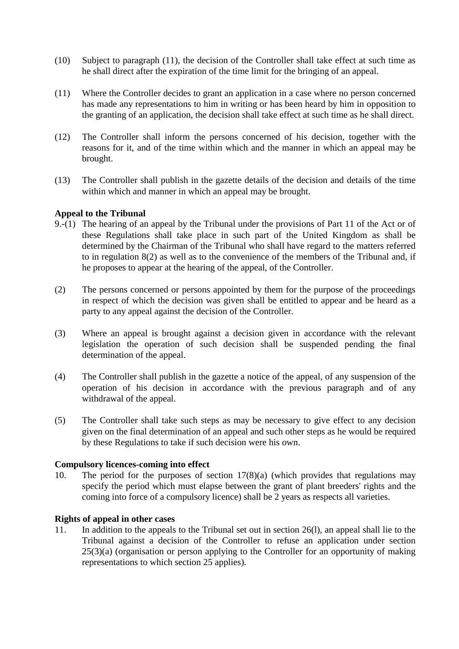- (10) Subject to paragraph (11), the decision of the Controller shall take effect at such time as he shall direct after the expiration of the time limit for the bringing of an appeal.
- (11) Where the Controller decides to grant an application in a case where no person concerned has made any representations to him in writing or has been heard by him in opposition to the granting of an application, the decision shall take effect at such time as he shall direct.
- (12) The Controller shall inform the persons concerned of his decision, together with the reasons for it, and of the time within which and the manner in which an appeal may be brought.
- (13) The Controller shall publish in the gazette details of the decision and details of the time within which and manner in which an appeal may be brought.

## **Appeal to the Tribunal**

- 9.-(1) The hearing of an appeal by the Tribunal under the provisions of Part 11 of the Act or of these Regulations shall take place in such part of the United Kingdom as shall be determined by the Chairman of the Tribunal who shall have regard to the matters referred to in regulation 8(2) as well as to the convenience of the members of the Tribunal and, if he proposes to appear at the hearing of the appeal, of the Controller.
- (2) The persons concerned or persons appointed by them for the purpose of the proceedings in respect of which the decision was given shall be entitled to appear and be heard as a party to any appeal against the decision of the Controller.
- (3) Where an appeal is brought against a decision given in accordance with the relevant legislation the operation of such decision shall be suspended pending the final determination of the appeal.
- (4) The Controller shall publish in the gazette a notice of the appeal, of any suspension of the operation of his decision in accordance with the previous paragraph and of any withdrawal of the appeal.
- (5) The Controller shall take such steps as may be necessary to give effect to any decision given on the final determination of an appeal and such other steps as he would be required by these Regulations to take if such decision were his own.

#### **Compulsory licences-coming into effect**

10. The period for the purposes of section 17(8)(a) (which provides that regulations may specify the period which must elapse between the grant of plant breeders' rights and the coming into force of a compulsory licence) shall be 2 years as respects all varieties.

#### **Rights of appeal in other cases**

11. In addition to the appeals to the Tribunal set out in section 26(l), an appeal shall lie to the Tribunal against a decision of the Controller to refuse an application under section 25(3)(a) (organisation or person applying to the Controller for an opportunity of making representations to which section 25 applies).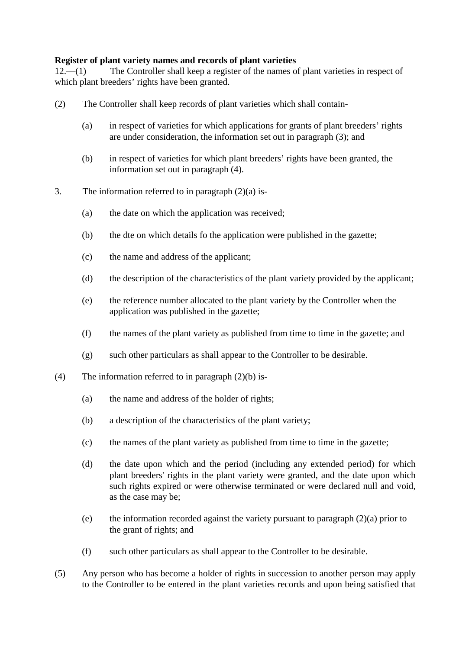## **Register of plant variety names and records of plant varieties**

12.—(1) The Controller shall keep a register of the names of plant varieties in respect of which plant breeders' rights have been granted.

- (2) The Controller shall keep records of plant varieties which shall contain-
	- (a) in respect of varieties for which applications for grants of plant breeders' rights are under consideration, the information set out in paragraph (3); and
	- (b) in respect of varieties for which plant breeders' rights have been granted, the information set out in paragraph (4).
- 3. The information referred to in paragraph  $(2)(a)$  is-
	- (a) the date on which the application was received;
	- (b) the dte on which details fo the application were published in the gazette;
	- (c) the name and address of the applicant;
	- (d) the description of the characteristics of the plant variety provided by the applicant;
	- (e) the reference number allocated to the plant variety by the Controller when the application was published in the gazette;
	- (f) the names of the plant variety as published from time to time in the gazette; and
	- (g) such other particulars as shall appear to the Controller to be desirable.
- (4) The information referred to in paragraph  $(2)(b)$  is-
	- (a) the name and address of the holder of rights;
	- (b) a description of the characteristics of the plant variety;
	- (c) the names of the plant variety as published from time to time in the gazette;
	- (d) the date upon which and the period (including any extended period) for which plant breeders' rights in the plant variety were granted, and the date upon which such rights expired or were otherwise terminated or were declared null and void, as the case may be;
	- (e) the information recorded against the variety pursuant to paragraph  $(2)(a)$  prior to the grant of rights; and
	- (f) such other particulars as shall appear to the Controller to be desirable.
- (5) Any person who has become a holder of rights in succession to another person may apply to the Controller to be entered in the plant varieties records and upon being satisfied that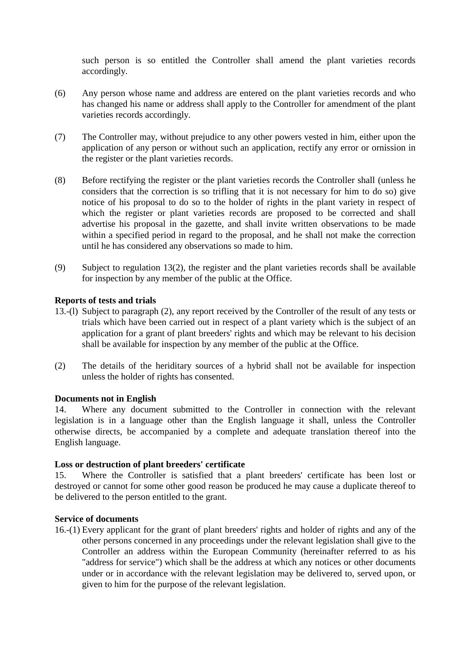such person is so entitled the Controller shall amend the plant varieties records accordingly.

- (6) Any person whose name and address are entered on the plant varieties records and who has changed his name or address shall apply to the Controller for amendment of the plant varieties records accordingly.
- (7) The Controller may, without prejudice to any other powers vested in him, either upon the application of any person or without such an application, rectify any error or ornission in the register or the plant varieties records.
- (8) Before rectifying the register or the plant varieties records the Controller shall (unless he considers that the correction is so trifling that it is not necessary for him to do so) give notice of his proposal to do so to the holder of rights in the plant variety in respect of which the register or plant varieties records are proposed to be corrected and shall advertise his proposal in the gazette, and shall invite written observations to be made within a specified period in regard to the proposal, and he shall not make the correction until he has considered any observations so made to him.
- (9) Subject to regulation 13(2), the register and the plant varieties records shall be available for inspection by any member of the public at the Office.

### **Reports of tests and trials**

- 13.-(l) Subject to paragraph (2), any report received by the Controller of the result of any tests or trials which have been carried out in respect of a plant variety which is the subject of an application for a grant of plant breeders' rights and which may be relevant to his decision shall be available for inspection by any member of the public at the Office.
- (2) The details of the heriditary sources of a hybrid shall not be available for inspection unless the holder of rights has consented.

#### **Documents not in English**

14. Where any document submitted to the Controller in connection with the relevant legislation is in a language other than the English language it shall, unless the Controller otherwise directs, be accompanied by a complete and adequate translation thereof into the English language.

#### **Loss or destruction of plant breeders' certificate**

15. Where the Controller is satisfied that a plant breeders' certificate has been lost or destroyed or cannot for some other good reason be produced he may cause a duplicate thereof to be delivered to the person entitled to the grant.

#### **Service of documents**

16.-(1) Every applicant for the grant of plant breeders' rights and holder of rights and any of the other persons concerned in any proceedings under the relevant legislation shall give to the Controller an address within the European Community (hereinafter referred to as his "address for service") which shall be the address at which any notices or other documents under or in accordance with the relevant legislation may be delivered to, served upon, or given to him for the purpose of the relevant legislation.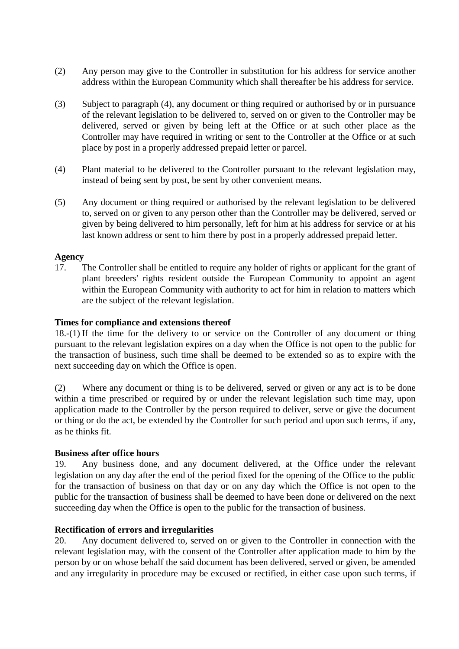- (2) Any person may give to the Controller in substitution for his address for service another address within the European Community which shall thereafter be his address for service.
- (3) Subject to paragraph (4), any document or thing required or authorised by or in pursuance of the relevant legislation to be delivered to, served on or given to the Controller may be delivered, served or given by being left at the Office or at such other place as the Controller may have required in writing or sent to the Controller at the Office or at such place by post in a properly addressed prepaid letter or parcel.
- (4) Plant material to be delivered to the Controller pursuant to the relevant legislation may, instead of being sent by post, be sent by other convenient means.
- (5) Any document or thing required or authorised by the relevant legislation to be delivered to, served on or given to any person other than the Controller may be delivered, served or given by being delivered to him personally, left for him at his address for service or at his last known address or sent to him there by post in a properly addressed prepaid letter.

### **Agency**

17. The Controller shall be entitled to require any holder of rights or applicant for the grant of plant breeders' rights resident outside the European Community to appoint an agent within the European Community with authority to act for him in relation to matters which are the subject of the relevant legislation.

#### **Times for compliance and extensions thereof**

18.-(1) If the time for the delivery to or service on the Controller of any document or thing pursuant to the relevant legislation expires on a day when the Office is not open to the public for the transaction of business, such time shall be deemed to be extended so as to expire with the next succeeding day on which the Office is open.

(2) Where any document or thing is to be delivered, served or given or any act is to be done within a time prescribed or required by or under the relevant legislation such time may, upon application made to the Controller by the person required to deliver, serve or give the document or thing or do the act, be extended by the Controller for such period and upon such terms, if any, as he thinks fit.

#### **Business after office hours**

19. Any business done, and any document delivered, at the Office under the relevant legislation on any day after the end of the period fixed for the opening of the Office to the public for the transaction of business on that day or on any day which the Office is not open to the public for the transaction of business shall be deemed to have been done or delivered on the next succeeding day when the Office is open to the public for the transaction of business.

#### **Rectification of errors and irregularities**

20. Any document delivered to, served on or given to the Controller in connection with the relevant legislation may, with the consent of the Controller after application made to him by the person by or on whose behalf the said document has been delivered, served or given, be amended and any irregularity in procedure may be excused or rectified, in either case upon such terms, if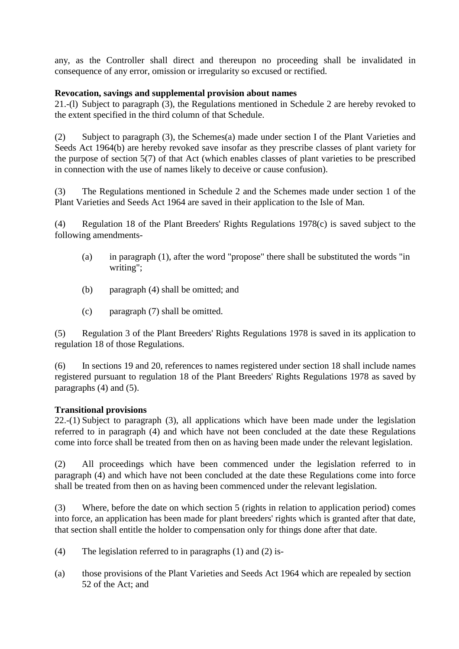any, as the Controller shall direct and thereupon no proceeding shall be invalidated in consequence of any error, omission or irregularity so excused or rectified.

### **Revocation, savings and supplemental provision about names**

21.-(l) Subject to paragraph (3), the Regulations mentioned in Schedule 2 are hereby revoked to the extent specified in the third column of that Schedule.

(2) Subject to paragraph (3), the Schemes(a) made under section I of the Plant Varieties and Seeds Act 1964(b) are hereby revoked save insofar as they prescribe classes of plant variety for the purpose of section 5(7) of that Act (which enables classes of plant varieties to be prescribed in connection with the use of names likely to deceive or cause confusion).

(3) The Regulations mentioned in Schedule 2 and the Schemes made under section 1 of the Plant Varieties and Seeds Act 1964 are saved in their application to the Isle of Man.

(4) Regulation 18 of the Plant Breeders' Rights Regulations 1978(c) is saved subject to the following amendments-

- (a) in paragraph (1), after the word "propose" there shall be substituted the words "in writing";
- (b) paragraph (4) shall be omitted; and
- (c) paragraph (7) shall be omitted.

(5) Regulation 3 of the Plant Breeders' Rights Regulations 1978 is saved in its application to regulation 18 of those Regulations.

(6) In sections 19 and 20, references to names registered under section 18 shall include names registered pursuant to regulation 18 of the Plant Breeders' Rights Regulations 1978 as saved by paragraphs  $(4)$  and  $(5)$ .

## **Transitional provisions**

22.-(1) Subject to paragraph (3), all applications which have been made under the legislation referred to in paragraph (4) and which have not been concluded at the date these Regulations come into force shall be treated from then on as having been made under the relevant legislation.

(2) All proceedings which have been commenced under the legislation referred to in paragraph (4) and which have not been concluded at the date these Regulations come into force shall be treated from then on as having been commenced under the relevant legislation.

(3) Where, before the date on which section 5 (rights in relation to application period) comes into force, an application has been made for plant breeders' rights which is granted after that date, that section shall entitle the holder to compensation only for things done after that date.

- (4) The legislation referred to in paragraphs (1) and (2) is-
- (a) those provisions of the Plant Varieties and Seeds Act 1964 which are repealed by section 52 of the Act; and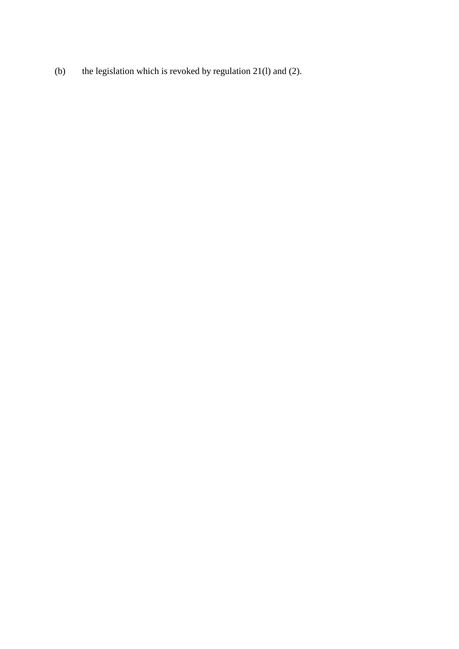(b) the legislation which is revoked by regulation 21(l) and (2).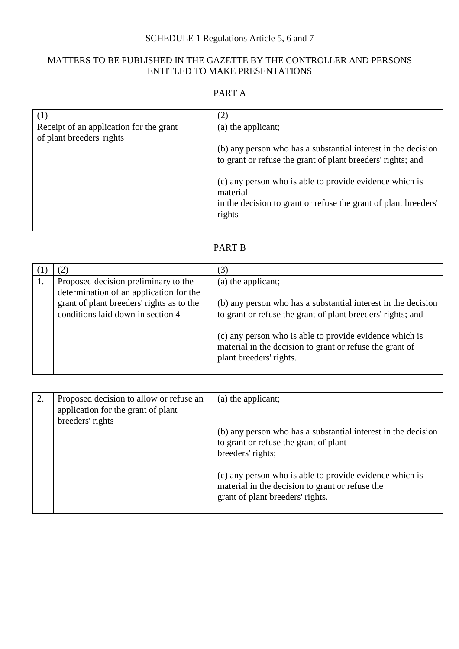# SCHEDULE 1 Regulations Article 5, 6 and 7

# MATTERS TO BE PUBLISHED IN THE GAZETTE BY THE CONTROLLER AND PERSONS ENTITLED TO MAKE PRESENTATIONS

# PART A

|                                                                      | $\left( 2\right)$                                                                                                                                |
|----------------------------------------------------------------------|--------------------------------------------------------------------------------------------------------------------------------------------------|
| Receipt of an application for the grant<br>of plant breeders' rights | (a) the applicant;                                                                                                                               |
|                                                                      | (b) any person who has a substantial interest in the decision<br>to grant or refuse the grant of plant breeders' rights; and                     |
|                                                                      | (c) any person who is able to provide evidence which is<br>material<br>in the decision to grant or refuse the grant of plant breeders'<br>rights |

## PART B

|    |                                                                                 | (3)                                                                                                                                            |
|----|---------------------------------------------------------------------------------|------------------------------------------------------------------------------------------------------------------------------------------------|
| 1. | Proposed decision preliminary to the<br>determination of an application for the | (a) the applicant;                                                                                                                             |
|    | grant of plant breeders' rights as to the<br>conditions laid down in section 4  | (b) any person who has a substantial interest in the decision<br>to grant or refuse the grant of plant breeders' rights; and                   |
|    |                                                                                 | (c) any person who is able to provide evidence which is<br>material in the decision to grant or refuse the grant of<br>plant breeders' rights. |

| 2. | Proposed decision to allow or refuse an<br>application for the grant of plant<br>breeders' rights | (a) the applicant;                                                                                                                             |
|----|---------------------------------------------------------------------------------------------------|------------------------------------------------------------------------------------------------------------------------------------------------|
|    |                                                                                                   | (b) any person who has a substantial interest in the decision<br>to grant or refuse the grant of plant<br>breeders' rights;                    |
|    |                                                                                                   | (c) any person who is able to provide evidence which is<br>material in the decision to grant or refuse the<br>grant of plant breeders' rights. |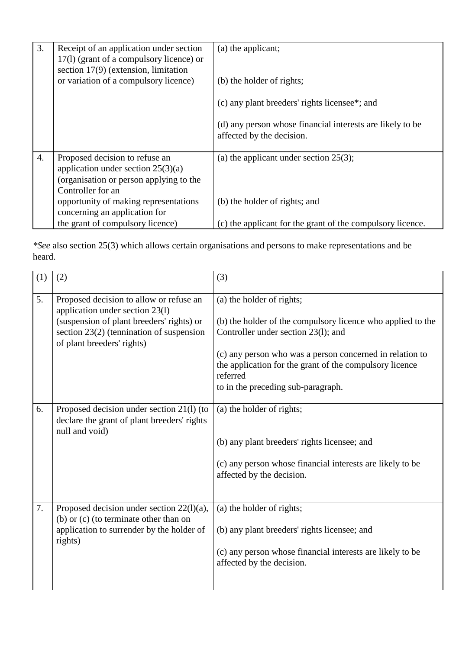| 3.               | Receipt of an application under section<br>17(1) (grant of a compulsory licence) or<br>section $17(9)$ (extension, limitation<br>or variation of a compulsory licence)                                                                               | (a) the applicant;<br>(b) the holder of rights;<br>(c) any plant breeders' rights licensee*; and<br>(d) any person whose financial interests are likely to be<br>affected by the decision. |
|------------------|------------------------------------------------------------------------------------------------------------------------------------------------------------------------------------------------------------------------------------------------------|--------------------------------------------------------------------------------------------------------------------------------------------------------------------------------------------|
| $\overline{4}$ . | Proposed decision to refuse an<br>application under section $25(3)(a)$<br>(organisation or person applying to the<br>Controller for an<br>opportunity of making representations<br>concerning an application for<br>the grant of compulsory licence) | (a) the applicant under section $25(3)$ ;<br>(b) the holder of rights; and<br>(c) the applicant for the grant of the compulsory licence.                                                   |

*\*See* also section 25(3) which allows certain organisations and persons to make representations and be heard.

| (1) | (2)                                                                                                                   | (3)                                                                                                                             |
|-----|-----------------------------------------------------------------------------------------------------------------------|---------------------------------------------------------------------------------------------------------------------------------|
| 5.  | Proposed decision to allow or refuse an<br>application under section 23(1)                                            | (a) the holder of rights;                                                                                                       |
|     | (suspension of plant breeders' rights) or<br>section $23(2)$ (tennination of suspension<br>of plant breeders' rights) | (b) the holder of the compulsory licence who applied to the<br>Controller under section 23(1); and                              |
|     |                                                                                                                       | (c) any person who was a person concerned in relation to<br>the application for the grant of the compulsory licence<br>referred |
|     |                                                                                                                       | to in the preceding sub-paragraph.                                                                                              |
| 6.  | Proposed decision under section 21(l) (to<br>declare the grant of plant breeders' rights<br>null and void)            | (a) the holder of rights;                                                                                                       |
|     |                                                                                                                       | (b) any plant breeders' rights licensee; and                                                                                    |
|     |                                                                                                                       | (c) any person whose financial interests are likely to be<br>affected by the decision.                                          |
| 7.  | Proposed decision under section $22(l)(a)$ ,<br>(b) or (c) (to terminate other than on                                | (a) the holder of rights;                                                                                                       |
|     | application to surrender by the holder of<br>rights)                                                                  | (b) any plant breeders' rights licensee; and                                                                                    |
|     |                                                                                                                       | (c) any person whose financial interests are likely to be<br>affected by the decision.                                          |
|     |                                                                                                                       |                                                                                                                                 |